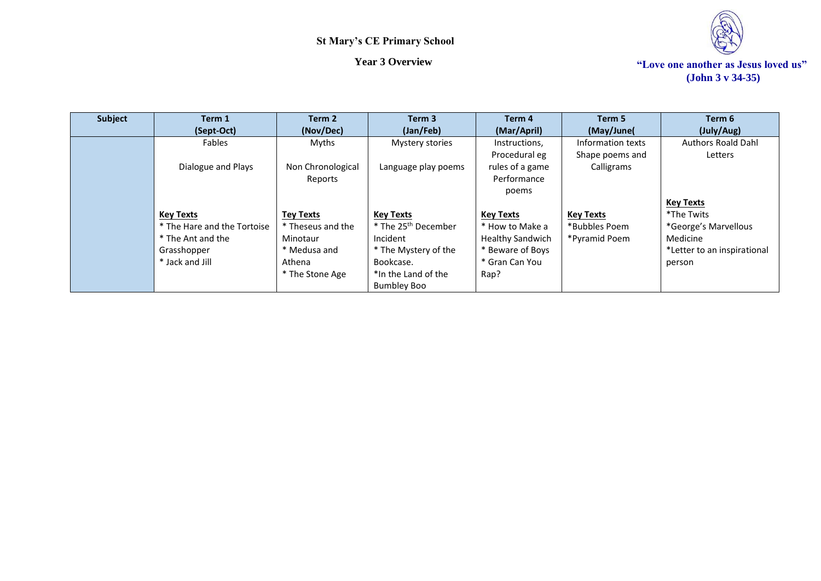

| <b>Subject</b> | Term 1                      | Term 2            | Term <sub>3</sub>               | Term 4                  | Term 5            | Term 6                      |
|----------------|-----------------------------|-------------------|---------------------------------|-------------------------|-------------------|-----------------------------|
|                | (Sept-Oct)                  | (Nov/Dec)         | (Jan/Feb)                       | (Mar/April)             | (May/June)        | (July/Aug)                  |
|                | Fables                      | Myths             | Mystery stories                 | Instructions,           | Information texts | <b>Authors Roald Dahl</b>   |
|                |                             |                   |                                 | Procedural eg           | Shape poems and   | Letters                     |
|                | Dialogue and Plays          | Non Chronological | Language play poems             | rules of a game         | Calligrams        |                             |
|                |                             | Reports           |                                 | Performance             |                   |                             |
|                |                             |                   |                                 | poems                   |                   |                             |
|                |                             |                   |                                 |                         |                   | <b>Key Texts</b>            |
|                | <b>Key Texts</b>            | <b>Tey Texts</b>  | <b>Key Texts</b>                | <b>Key Texts</b>        | <b>Key Texts</b>  | *The Twits                  |
|                | * The Hare and the Tortoise | * Theseus and the | * The 25 <sup>th</sup> December | * How to Make a         | *Bubbles Poem     | *George's Marvellous        |
|                | * The Ant and the           | Minotaur          | Incident                        | <b>Healthy Sandwich</b> | *Pyramid Poem     | Medicine                    |
|                | Grasshopper                 | * Medusa and      | * The Mystery of the            | * Beware of Boys        |                   | *Letter to an inspirational |
|                | * Jack and Jill             | Athena            | Bookcase.                       | * Gran Can You          |                   | person                      |
|                |                             | * The Stone Age   | *In the Land of the             | Rap?                    |                   |                             |
|                |                             |                   | <b>Bumbley Boo</b>              |                         |                   |                             |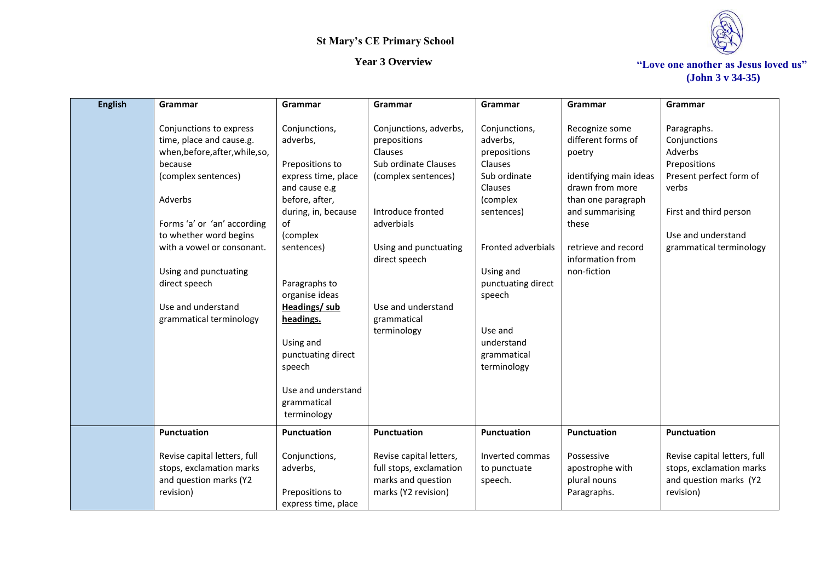

*Year 3 Overview* **The** *Year 3 Overview* $\cdot$ *Year 3 Overview* $\cdot$ *Year 3 Overview* **(John 3 v 34-35)**

| <b>English</b> | Grammar                                                                                                                                                                                                                                                                                                               | Grammar                                                                                                                                                                                                                                                                                                 | Grammar                                                                                                                                                                                                                           | Grammar                                                                                                                                                                                                                             | Grammar                                                                                                                                                                                                 | Grammar                                                                                                                                                               |
|----------------|-----------------------------------------------------------------------------------------------------------------------------------------------------------------------------------------------------------------------------------------------------------------------------------------------------------------------|---------------------------------------------------------------------------------------------------------------------------------------------------------------------------------------------------------------------------------------------------------------------------------------------------------|-----------------------------------------------------------------------------------------------------------------------------------------------------------------------------------------------------------------------------------|-------------------------------------------------------------------------------------------------------------------------------------------------------------------------------------------------------------------------------------|---------------------------------------------------------------------------------------------------------------------------------------------------------------------------------------------------------|-----------------------------------------------------------------------------------------------------------------------------------------------------------------------|
|                | Conjunctions to express<br>time, place and cause.g.<br>when, before, after, while, so,<br>because<br>(complex sentences)<br>Adverbs<br>Forms 'a' or 'an' according<br>to whether word begins<br>with a vowel or consonant.<br>Using and punctuating<br>direct speech<br>Use and understand<br>grammatical terminology | Conjunctions,<br>adverbs,<br>Prepositions to<br>express time, place<br>and cause e.g<br>before, after,<br>during, in, because<br>of<br>(complex<br>sentences)<br>Paragraphs to<br>organise ideas<br><b>Headings/sub</b><br>headings.<br>Using and<br>punctuating direct<br>speech<br>Use and understand | Conjunctions, adverbs,<br>prepositions<br>Clauses<br>Sub ordinate Clauses<br>(complex sentences)<br>Introduce fronted<br>adverbials<br>Using and punctuating<br>direct speech<br>Use and understand<br>grammatical<br>terminology | Conjunctions,<br>adverbs,<br>prepositions<br>Clauses<br>Sub ordinate<br>Clauses<br>(complex<br>sentences)<br>Fronted adverbials<br>Using and<br>punctuating direct<br>speech<br>Use and<br>understand<br>grammatical<br>terminology | Recognize some<br>different forms of<br>poetry<br>identifying main ideas<br>drawn from more<br>than one paragraph<br>and summarising<br>these<br>retrieve and record<br>information from<br>non-fiction | Paragraphs.<br>Conjunctions<br>Adverbs<br>Prepositions<br>Present perfect form of<br>verbs<br>First and third person<br>Use and understand<br>grammatical terminology |
|                |                                                                                                                                                                                                                                                                                                                       | grammatical<br>terminology                                                                                                                                                                                                                                                                              |                                                                                                                                                                                                                                   |                                                                                                                                                                                                                                     |                                                                                                                                                                                                         |                                                                                                                                                                       |
|                | <b>Punctuation</b>                                                                                                                                                                                                                                                                                                    | <b>Punctuation</b>                                                                                                                                                                                                                                                                                      | Punctuation                                                                                                                                                                                                                       | <b>Punctuation</b>                                                                                                                                                                                                                  | Punctuation                                                                                                                                                                                             | Punctuation                                                                                                                                                           |
|                | Revise capital letters, full<br>stops, exclamation marks<br>and question marks (Y2<br>revision)                                                                                                                                                                                                                       | Conjunctions,<br>adverbs,<br>Prepositions to<br>express time, place                                                                                                                                                                                                                                     | Revise capital letters,<br>full stops, exclamation<br>marks and question<br>marks (Y2 revision)                                                                                                                                   | Inverted commas<br>to punctuate<br>speech.                                                                                                                                                                                          | Possessive<br>apostrophe with<br>plural nouns<br>Paragraphs.                                                                                                                                            | Revise capital letters, full<br>stops, exclamation marks<br>and question marks (Y2<br>revision)                                                                       |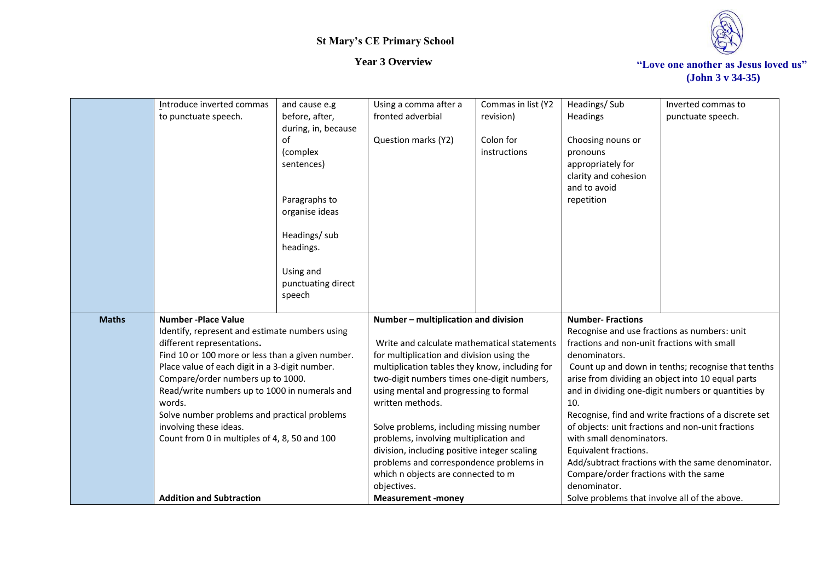

|              | Introduce inverted commas                        | and cause e.g                | Using a comma after a                                                         | Commas in list (Y2 | Headings/Sub                                       | Inverted commas to                                    |
|--------------|--------------------------------------------------|------------------------------|-------------------------------------------------------------------------------|--------------------|----------------------------------------------------|-------------------------------------------------------|
|              | to punctuate speech.                             | before, after,               | fronted adverbial                                                             | revision)          | Headings                                           | punctuate speech.                                     |
|              |                                                  | during, in, because          |                                                                               |                    |                                                    |                                                       |
|              |                                                  | of                           | Question marks (Y2)                                                           | Colon for          | Choosing nouns or                                  |                                                       |
|              |                                                  | (complex                     |                                                                               | instructions       | pronouns                                           |                                                       |
|              |                                                  | sentences)                   |                                                                               |                    | appropriately for                                  |                                                       |
|              |                                                  |                              |                                                                               |                    | clarity and cohesion                               |                                                       |
|              |                                                  |                              |                                                                               |                    | and to avoid                                       |                                                       |
|              |                                                  | Paragraphs to                |                                                                               |                    | repetition                                         |                                                       |
|              |                                                  | organise ideas               |                                                                               |                    |                                                    |                                                       |
|              |                                                  |                              |                                                                               |                    |                                                    |                                                       |
|              |                                                  | Headings/ sub                |                                                                               |                    |                                                    |                                                       |
|              |                                                  | headings.                    |                                                                               |                    |                                                    |                                                       |
|              |                                                  |                              |                                                                               |                    |                                                    |                                                       |
|              |                                                  | Using and                    |                                                                               |                    |                                                    |                                                       |
|              |                                                  | punctuating direct<br>speech |                                                                               |                    |                                                    |                                                       |
|              |                                                  |                              |                                                                               |                    |                                                    |                                                       |
| <b>Maths</b> | <b>Number -Place Value</b>                       |                              | Number - multiplication and division                                          |                    | <b>Number-Fractions</b>                            |                                                       |
|              | Identify, represent and estimate numbers using   |                              |                                                                               |                    | Recognise and use fractions as numbers: unit       |                                                       |
|              | different representations.                       |                              | Write and calculate mathematical statements                                   |                    | fractions and non-unit fractions with small        |                                                       |
|              | Find 10 or 100 more or less than a given number. |                              | for multiplication and division using the                                     |                    | denominators.                                      |                                                       |
|              | Place value of each digit in a 3-digit number.   |                              | multiplication tables they know, including for                                |                    | Count up and down in tenths; recognise that tenths |                                                       |
|              | Compare/order numbers up to 1000.                |                              | two-digit numbers times one-digit numbers,                                    |                    | arise from dividing an object into 10 equal parts  |                                                       |
|              | Read/write numbers up to 1000 in numerals and    |                              | using mental and progressing to formal                                        |                    | and in dividing one-digit numbers or quantities by |                                                       |
|              | words.                                           |                              | written methods.                                                              |                    | 10.                                                |                                                       |
|              | Solve number problems and practical problems     |                              |                                                                               |                    |                                                    | Recognise, find and write fractions of a discrete set |
|              | involving these ideas.                           |                              | Solve problems, including missing number                                      |                    |                                                    | of objects: unit fractions and non-unit fractions     |
|              | Count from 0 in multiples of 4, 8, 50 and 100    |                              | problems, involving multiplication and                                        |                    | with small denominators.                           |                                                       |
|              |                                                  |                              | division, including positive integer scaling                                  |                    | Equivalent fractions.                              |                                                       |
|              |                                                  |                              | problems and correspondence problems in<br>which n objects are connected to m |                    | Compare/order fractions with the same              | Add/subtract fractions with the same denominator.     |
|              |                                                  |                              | objectives.                                                                   |                    | denominator.                                       |                                                       |
|              | <b>Addition and Subtraction</b>                  |                              | <b>Measurement -money</b>                                                     |                    | Solve problems that involve all of the above.      |                                                       |
|              |                                                  |                              |                                                                               |                    |                                                    |                                                       |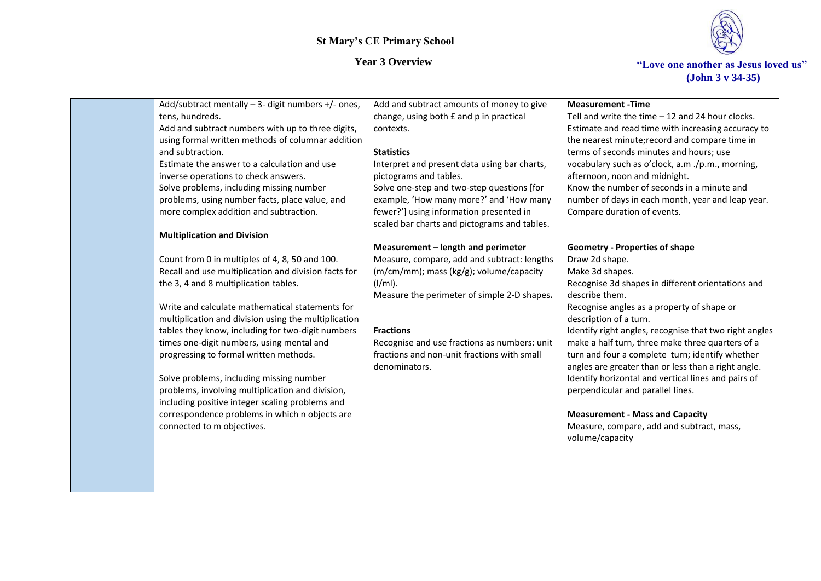

| Add/subtract mentally - 3- digit numbers +/- ones,                                                                                                                                                                                                                                                                                                                                                                                                                                                                                                                                                                                                                              | Add and subtract amounts of money to give                                                                                                                                                                                                                                                                                     | <b>Measurement - Time</b>                          |
|---------------------------------------------------------------------------------------------------------------------------------------------------------------------------------------------------------------------------------------------------------------------------------------------------------------------------------------------------------------------------------------------------------------------------------------------------------------------------------------------------------------------------------------------------------------------------------------------------------------------------------------------------------------------------------|-------------------------------------------------------------------------------------------------------------------------------------------------------------------------------------------------------------------------------------------------------------------------------------------------------------------------------|----------------------------------------------------|
| tens, hundreds.                                                                                                                                                                                                                                                                                                                                                                                                                                                                                                                                                                                                                                                                 | change, using both £ and p in practical                                                                                                                                                                                                                                                                                       | Tell and write the time $-12$ and 24 hour clocks.  |
| Add and subtract numbers with up to three digits,                                                                                                                                                                                                                                                                                                                                                                                                                                                                                                                                                                                                                               | contexts.                                                                                                                                                                                                                                                                                                                     | Estimate and read time with increasing accuracy to |
| using formal written methods of columnar addition                                                                                                                                                                                                                                                                                                                                                                                                                                                                                                                                                                                                                               | <b>Statistics</b>                                                                                                                                                                                                                                                                                                             | the nearest minute; record and compare time in     |
| and subtraction.                                                                                                                                                                                                                                                                                                                                                                                                                                                                                                                                                                                                                                                                | Interpret and present data using bar charts,                                                                                                                                                                                                                                                                                  | terms of seconds minutes and hours; use            |
| Estimate the answer to a calculation and use                                                                                                                                                                                                                                                                                                                                                                                                                                                                                                                                                                                                                                    | pictograms and tables.                                                                                                                                                                                                                                                                                                        | vocabulary such as o'clock, a.m./p.m., morning,    |
| inverse operations to check answers.                                                                                                                                                                                                                                                                                                                                                                                                                                                                                                                                                                                                                                            | Solve one-step and two-step questions [for                                                                                                                                                                                                                                                                                    | afternoon, noon and midnight.                      |
| Solve problems, including missing number                                                                                                                                                                                                                                                                                                                                                                                                                                                                                                                                                                                                                                        | example, 'How many more?' and 'How many                                                                                                                                                                                                                                                                                       | Know the number of seconds in a minute and         |
| problems, using number facts, place value, and                                                                                                                                                                                                                                                                                                                                                                                                                                                                                                                                                                                                                                  | fewer?'] using information presented in                                                                                                                                                                                                                                                                                       | number of days in each month, year and leap year.  |
| more complex addition and subtraction.                                                                                                                                                                                                                                                                                                                                                                                                                                                                                                                                                                                                                                          | scaled bar charts and pictograms and tables.                                                                                                                                                                                                                                                                                  | Compare duration of events.                        |
| <b>Multiplication and Division</b><br>Count from 0 in multiples of 4, 8, 50 and 100.<br>Recall and use multiplication and division facts for<br>the 3, 4 and 8 multiplication tables.<br>Write and calculate mathematical statements for<br>multiplication and division using the multiplication<br>tables they know, including for two-digit numbers<br>times one-digit numbers, using mental and<br>progressing to formal written methods.<br>Solve problems, including missing number<br>problems, involving multiplication and division,<br>including positive integer scaling problems and<br>correspondence problems in which n objects are<br>connected to m objectives. | Measurement - length and perimeter<br>Measure, compare, add and subtract: lengths<br>(m/cm/mm); mass (kg/g); volume/capacity<br>$(I/ml)$ .<br>Measure the perimeter of simple 2-D shapes.<br><b>Fractions</b><br>Recognise and use fractions as numbers: unit<br>fractions and non-unit fractions with small<br>denominators. |                                                    |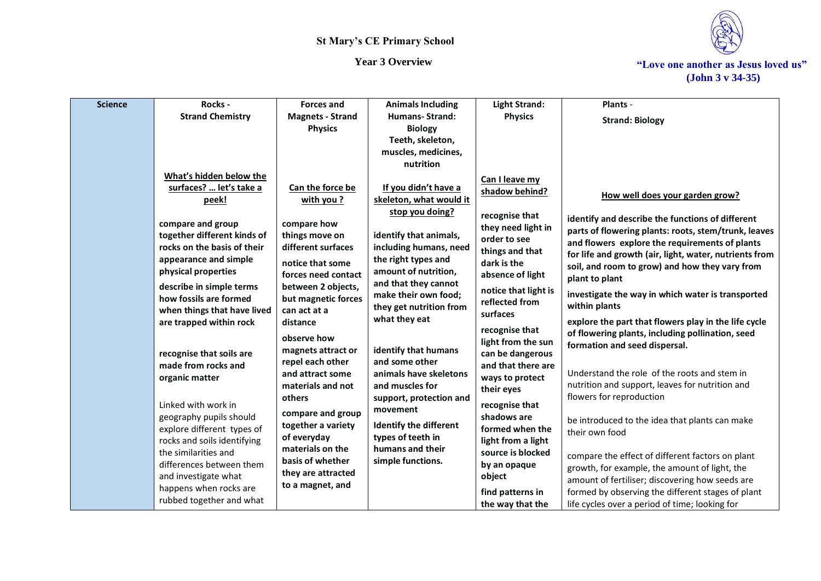

*Year 3 Overview* **The** *Year 3 Overview* $\cdot$ *Year 3 Overview* $\cdot$ *Year 3 Overview* **(John 3 v 34-35)**

| <b>Science</b> | Rocks -                     | <b>Forces and</b>       | <b>Animals Including</b>                     | <b>Light Strand:</b> | Plants -                                               |
|----------------|-----------------------------|-------------------------|----------------------------------------------|----------------------|--------------------------------------------------------|
|                | <b>Strand Chemistry</b>     | <b>Magnets - Strand</b> | Humans-Strand:                               | <b>Physics</b>       | <b>Strand: Biology</b>                                 |
|                |                             | <b>Physics</b>          | <b>Biology</b>                               |                      |                                                        |
|                |                             |                         | Teeth, skeleton,                             |                      |                                                        |
|                |                             |                         | muscles, medicines,                          |                      |                                                        |
|                |                             |                         | nutrition                                    |                      |                                                        |
|                | What's hidden below the     |                         |                                              | Can I leave my       |                                                        |
|                | surfaces?  let's take a     | Can the force be        | If you didn't have a                         | shadow behind?       | How well does your garden grow?                        |
|                | peek!                       | with you?               | skeleton, what would it                      |                      |                                                        |
|                |                             |                         | stop you doing?                              | recognise that       | identify and describe the functions of different       |
|                | compare and group           | compare how             |                                              | they need light in   | parts of flowering plants: roots, stem/trunk, leaves   |
|                | together different kinds of | things move on          | identify that animals,                       | order to see         | and flowers explore the requirements of plants         |
|                | rocks on the basis of their | different surfaces      | including humans, need                       | things and that      | for life and growth (air, light, water, nutrients from |
|                | appearance and simple       | notice that some        | the right types and                          | dark is the          | soil, and room to grow) and how they vary from         |
|                | physical properties         | forces need contact     | amount of nutrition,                         | absence of light     | plant to plant                                         |
|                | describe in simple terms    | between 2 objects,      | and that they cannot<br>make their own food; | notice that light is | investigate the way in which water is transported      |
|                | how fossils are formed      | but magnetic forces     | they get nutrition from                      | reflected from       | within plants                                          |
|                | when things that have lived | can act at a            | what they eat                                | surfaces             |                                                        |
|                | are trapped within rock     | distance                |                                              | recognise that       | explore the part that flowers play in the life cycle   |
|                |                             | observe how             |                                              | light from the sun   | of flowering plants, including pollination, seed       |
|                | recognise that soils are    | magnets attract or      | identify that humans                         | can be dangerous     | formation and seed dispersal.                          |
|                | made from rocks and         | repel each other        | and some other                               | and that there are   |                                                        |
|                | organic matter              | and attract some        | animals have skeletons                       | ways to protect      | Understand the role of the roots and stem in           |
|                |                             | materials and not       | and muscles for                              | their eyes           | nutrition and support, leaves for nutrition and        |
|                | Linked with work in         | others                  | support, protection and                      | recognise that       | flowers for reproduction                               |
|                | geography pupils should     | compare and group       | movement                                     | shadows are          |                                                        |
|                | explore different types of  | together a variety      | <b>Identify the different</b>                | formed when the      | be introduced to the idea that plants can make         |
|                | rocks and soils identifying | of everyday             | types of teeth in                            | light from a light   | their own food                                         |
|                | the similarities and        | materials on the        | humans and their                             | source is blocked    |                                                        |
|                | differences between them    | basis of whether        | simple functions.                            | by an opaque         | compare the effect of different factors on plant       |
|                | and investigate what        | they are attracted      |                                              | object               | growth, for example, the amount of light, the          |
|                | happens when rocks are      | to a magnet, and        |                                              |                      | amount of fertiliser; discovering how seeds are        |
|                | rubbed together and what    |                         |                                              | find patterns in     | formed by observing the different stages of plant      |
|                |                             |                         |                                              | the way that the     | life cycles over a period of time; looking for         |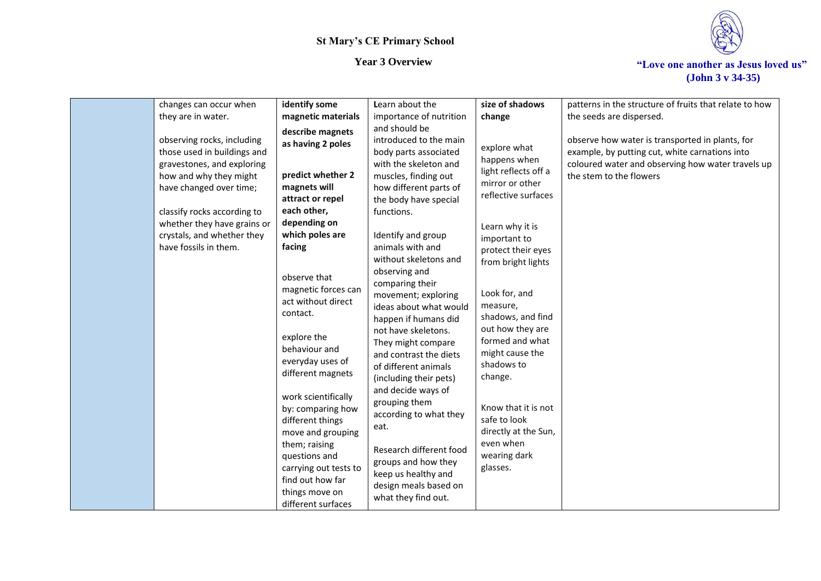

*Year 3 Overview* **The** *Year 3 Overview* $\cdot$ *Year 3 Overview* **(John 3 v 34-35)**

| changes can occur when                                                                                                                       | identify some                                                                                                                                                                                                                                                                                                                                              | Learn about the                                                                                                                                                                                                                                                                                                                                                                                                                                | size of shadows                                                                                                                                                                                                                                                                                                          | patterns in the structure of fruits that relate to how                                                                                                                            |
|----------------------------------------------------------------------------------------------------------------------------------------------|------------------------------------------------------------------------------------------------------------------------------------------------------------------------------------------------------------------------------------------------------------------------------------------------------------------------------------------------------------|------------------------------------------------------------------------------------------------------------------------------------------------------------------------------------------------------------------------------------------------------------------------------------------------------------------------------------------------------------------------------------------------------------------------------------------------|--------------------------------------------------------------------------------------------------------------------------------------------------------------------------------------------------------------------------------------------------------------------------------------------------------------------------|-----------------------------------------------------------------------------------------------------------------------------------------------------------------------------------|
| they are in water.                                                                                                                           | magnetic materials                                                                                                                                                                                                                                                                                                                                         | importance of nutrition                                                                                                                                                                                                                                                                                                                                                                                                                        | change                                                                                                                                                                                                                                                                                                                   | the seeds are dispersed.                                                                                                                                                          |
| observing rocks, including<br>those used in buildings and<br>gravestones, and exploring<br>how and why they might<br>have changed over time; | describe magnets<br>as having 2 poles<br>predict whether 2<br>magnets will<br>attract or repel                                                                                                                                                                                                                                                             | and should be<br>introduced to the main<br>body parts associated<br>with the skeleton and<br>muscles, finding out<br>how different parts of<br>the body have special                                                                                                                                                                                                                                                                           | explore what<br>happens when<br>light reflects off a<br>mirror or other<br>reflective surfaces                                                                                                                                                                                                                           | observe how water is transported in plants, for<br>example, by putting cut, white carnations into<br>coloured water and observing how water travels up<br>the stem to the flowers |
| classify rocks according to<br>whether they have grains or<br>crystals, and whether they<br>have fossils in them.                            | each other,<br>depending on<br>which poles are<br>facing<br>observe that<br>magnetic forces can<br>act without direct<br>contact.<br>explore the<br>behaviour and<br>everyday uses of<br>different magnets<br>work scientifically<br>by: comparing how<br>different things<br>move and grouping<br>them; raising<br>questions and<br>carrying out tests to | functions.<br>Identify and group<br>animals with and<br>without skeletons and<br>observing and<br>comparing their<br>movement; exploring<br>ideas about what would<br>happen if humans did<br>not have skeletons.<br>They might compare<br>and contrast the diets<br>of different animals<br>(including their pets)<br>and decide ways of<br>grouping them<br>according to what they<br>eat.<br>Research different food<br>groups and how they | Learn why it is<br>important to<br>protect their eyes<br>from bright lights<br>Look for, and<br>measure,<br>shadows, and find<br>out how they are<br>formed and what<br>might cause the<br>shadows to<br>change.<br>Know that it is not<br>safe to look<br>directly at the Sun,<br>even when<br>wearing dark<br>glasses. |                                                                                                                                                                                   |
|                                                                                                                                              | find out how far<br>things move on<br>different surfaces                                                                                                                                                                                                                                                                                                   | keep us healthy and<br>design meals based on<br>what they find out.                                                                                                                                                                                                                                                                                                                                                                            |                                                                                                                                                                                                                                                                                                                          |                                                                                                                                                                                   |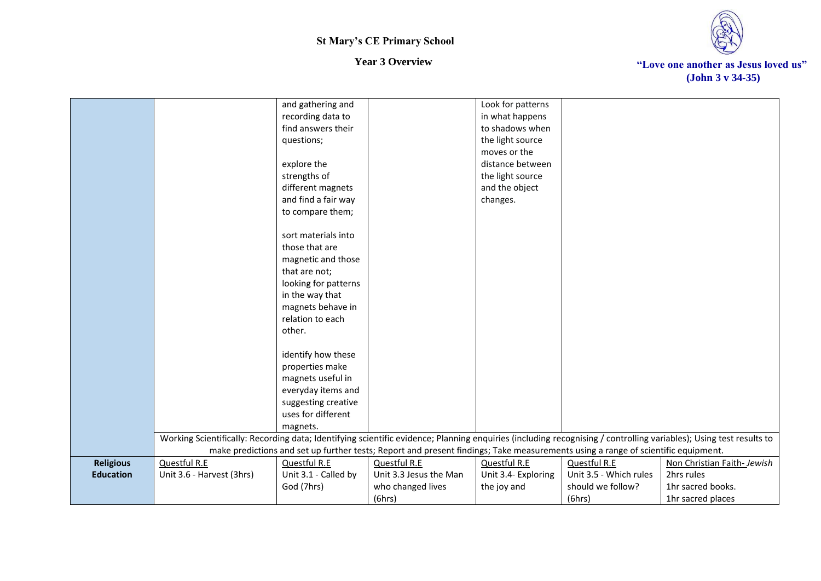

|                  |                                                                                                                                                                    | and gathering and    |                                                                                                                                  | Look for patterns   |                        |                            |
|------------------|--------------------------------------------------------------------------------------------------------------------------------------------------------------------|----------------------|----------------------------------------------------------------------------------------------------------------------------------|---------------------|------------------------|----------------------------|
|                  |                                                                                                                                                                    | recording data to    |                                                                                                                                  | in what happens     |                        |                            |
|                  |                                                                                                                                                                    | find answers their   |                                                                                                                                  | to shadows when     |                        |                            |
|                  |                                                                                                                                                                    | questions;           |                                                                                                                                  | the light source    |                        |                            |
|                  |                                                                                                                                                                    |                      |                                                                                                                                  | moves or the        |                        |                            |
|                  |                                                                                                                                                                    | explore the          |                                                                                                                                  | distance between    |                        |                            |
|                  |                                                                                                                                                                    | strengths of         |                                                                                                                                  | the light source    |                        |                            |
|                  |                                                                                                                                                                    | different magnets    |                                                                                                                                  | and the object      |                        |                            |
|                  |                                                                                                                                                                    | and find a fair way  |                                                                                                                                  | changes.            |                        |                            |
|                  |                                                                                                                                                                    | to compare them;     |                                                                                                                                  |                     |                        |                            |
|                  |                                                                                                                                                                    |                      |                                                                                                                                  |                     |                        |                            |
|                  |                                                                                                                                                                    | sort materials into  |                                                                                                                                  |                     |                        |                            |
|                  |                                                                                                                                                                    | those that are       |                                                                                                                                  |                     |                        |                            |
|                  |                                                                                                                                                                    | magnetic and those   |                                                                                                                                  |                     |                        |                            |
|                  |                                                                                                                                                                    | that are not;        |                                                                                                                                  |                     |                        |                            |
|                  |                                                                                                                                                                    | looking for patterns |                                                                                                                                  |                     |                        |                            |
|                  |                                                                                                                                                                    | in the way that      |                                                                                                                                  |                     |                        |                            |
|                  |                                                                                                                                                                    | magnets behave in    |                                                                                                                                  |                     |                        |                            |
|                  |                                                                                                                                                                    | relation to each     |                                                                                                                                  |                     |                        |                            |
|                  |                                                                                                                                                                    | other.               |                                                                                                                                  |                     |                        |                            |
|                  |                                                                                                                                                                    |                      |                                                                                                                                  |                     |                        |                            |
|                  |                                                                                                                                                                    | identify how these   |                                                                                                                                  |                     |                        |                            |
|                  |                                                                                                                                                                    | properties make      |                                                                                                                                  |                     |                        |                            |
|                  |                                                                                                                                                                    | magnets useful in    |                                                                                                                                  |                     |                        |                            |
|                  |                                                                                                                                                                    | everyday items and   |                                                                                                                                  |                     |                        |                            |
|                  |                                                                                                                                                                    | suggesting creative  |                                                                                                                                  |                     |                        |                            |
|                  |                                                                                                                                                                    | uses for different   |                                                                                                                                  |                     |                        |                            |
|                  |                                                                                                                                                                    | magnets.             |                                                                                                                                  |                     |                        |                            |
|                  | Working Scientifically: Recording data; Identifying scientific evidence; Planning enquiries (including recognising / controlling variables); Using test results to |                      |                                                                                                                                  |                     |                        |                            |
|                  |                                                                                                                                                                    |                      | make predictions and set up further tests; Report and present findings; Take measurements using a range of scientific equipment. |                     |                        |                            |
| <b>Religious</b> | Questful R.E                                                                                                                                                       | Questful R.E         | Questful R.E                                                                                                                     | Questful R.E        | Questful R.E           | Non Christian Faith-Jewish |
| <b>Education</b> | Unit 3.6 - Harvest (3hrs)                                                                                                                                          | Unit 3.1 - Called by | Unit 3.3 Jesus the Man                                                                                                           | Unit 3.4- Exploring | Unit 3.5 - Which rules | 2hrs rules                 |
|                  |                                                                                                                                                                    | God (7hrs)           | who changed lives                                                                                                                | the joy and         | should we follow?      | 1hr sacred books.          |
|                  |                                                                                                                                                                    |                      | (6hrs)                                                                                                                           |                     | (6hrs)                 | 1hr sacred places          |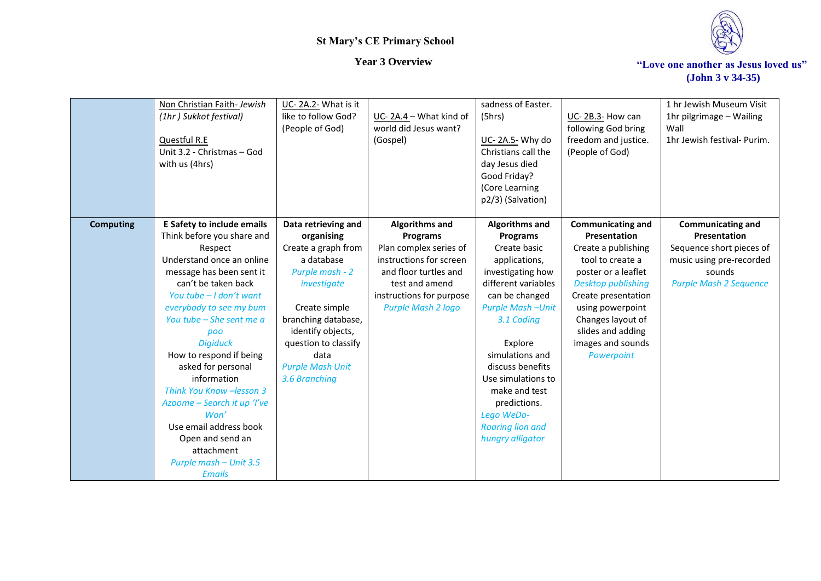

*Year 3 Overview* **The** *Year 3 Overview* $\cdot$ *Year 3 Overview* **(John 3 v 34-35)**

|                  | Non Christian Faith-Jewish  | UC-2A.2- What is it     |                          | sadness of Easter.      |                          | 1 hr Jewish Museum Visit      |
|------------------|-----------------------------|-------------------------|--------------------------|-------------------------|--------------------------|-------------------------------|
|                  | (1hr) Sukkot festival)      | like to follow God?     | UC-2A.4 - What kind of   | (5hrs)                  | UC-2B.3-How can          | 1hr pilgrimage - Wailing      |
|                  |                             | (People of God)         | world did Jesus want?    |                         | following God bring      | Wall                          |
|                  | Questful R.E                |                         | (Gospel)                 | UC-2A.5- Why do         | freedom and justice.     | 1hr Jewish festival- Purim.   |
|                  | Unit 3.2 - Christmas - God  |                         |                          | Christians call the     | (People of God)          |                               |
|                  | with us (4hrs)              |                         |                          | day Jesus died          |                          |                               |
|                  |                             |                         |                          | Good Friday?            |                          |                               |
|                  |                             |                         |                          | (Core Learning          |                          |                               |
|                  |                             |                         |                          | p2/3) (Salvation)       |                          |                               |
|                  |                             |                         |                          |                         |                          |                               |
| <b>Computing</b> | E Safety to include emails  | Data retrieving and     | Algorithms and           | <b>Algorithms and</b>   | <b>Communicating and</b> | <b>Communicating and</b>      |
|                  | Think before you share and  | organising              | <b>Programs</b>          | <b>Programs</b>         | Presentation             | Presentation                  |
|                  | Respect                     | Create a graph from     | Plan complex series of   | Create basic            | Create a publishing      | Sequence short pieces of      |
|                  | Understand once an online   | a database              | instructions for screen  | applications,           | tool to create a         | music using pre-recorded      |
|                  | message has been sent it    | Purple mash - 2         | and floor turtles and    | investigating how       | poster or a leaflet      | sounds                        |
|                  | can't be taken back         | investigate             | test and amend           | different variables     | Desktop publishing       | <b>Purple Mash 2 Sequence</b> |
|                  | You tube - I don't want     |                         | instructions for purpose | can be changed          | Create presentation      |                               |
|                  | everybody to see my bum     | Create simple           | Purple Mash 2 logo       | <b>Purple Mash-Unit</b> | using powerpoint         |                               |
|                  | You tube – She sent me a    | branching database,     |                          | 3.1 Coding              | Changes layout of        |                               |
|                  | poo                         | identify objects,       |                          |                         | slides and adding        |                               |
|                  | <b>Digiduck</b>             | question to classify    |                          | Explore                 | images and sounds        |                               |
|                  | How to respond if being     | data                    |                          | simulations and         | Powerpoint               |                               |
|                  | asked for personal          | <b>Purple Mash Unit</b> |                          | discuss benefits        |                          |                               |
|                  | information                 | 3.6 Branching           |                          | Use simulations to      |                          |                               |
|                  | Think You Know -lesson 3    |                         |                          | make and test           |                          |                               |
|                  | Azoome - Search it up 'I've |                         |                          | predictions.            |                          |                               |
|                  | Won'                        |                         |                          | Lego WeDo-              |                          |                               |
|                  | Use email address book      |                         |                          | <b>Roaring lion and</b> |                          |                               |
|                  | Open and send an            |                         |                          | hungry alligator        |                          |                               |
|                  | attachment                  |                         |                          |                         |                          |                               |
|                  | Purple mash - Unit 3.5      |                         |                          |                         |                          |                               |
|                  | <b>Emails</b>               |                         |                          |                         |                          |                               |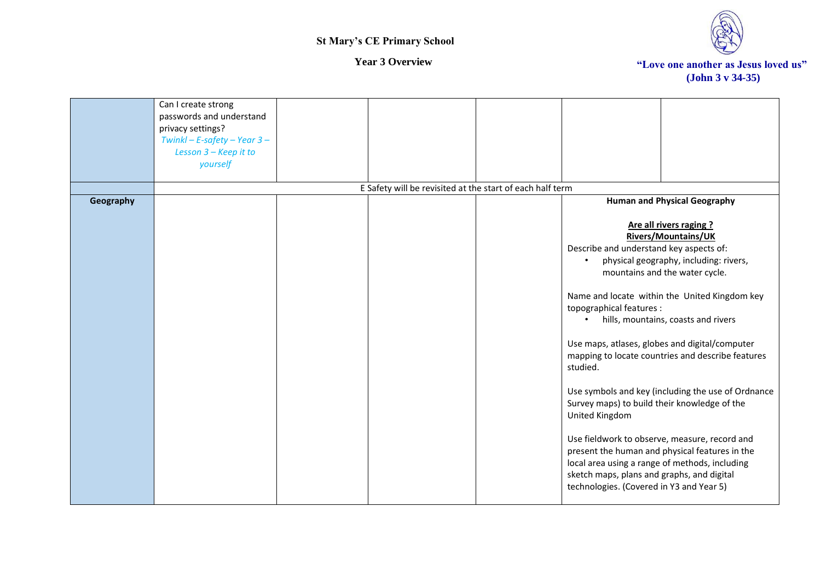

|           | Can I create strong<br>passwords and understand<br>privacy settings?<br>Twinkl - E-safety - Year $3-$ |                                                           |                                                                                                                                          |                                                                                                                                   |
|-----------|-------------------------------------------------------------------------------------------------------|-----------------------------------------------------------|------------------------------------------------------------------------------------------------------------------------------------------|-----------------------------------------------------------------------------------------------------------------------------------|
|           | Lesson 3 - Keep it to<br>yourself                                                                     |                                                           |                                                                                                                                          |                                                                                                                                   |
|           |                                                                                                       | E Safety will be revisited at the start of each half term |                                                                                                                                          |                                                                                                                                   |
| Geography |                                                                                                       |                                                           |                                                                                                                                          | <b>Human and Physical Geography</b>                                                                                               |
|           |                                                                                                       |                                                           | Describe and understand key aspects of:<br>$\bullet$                                                                                     | Are all rivers raging ?<br><b>Rivers/Mountains/UK</b><br>physical geography, including: rivers,<br>mountains and the water cycle. |
|           |                                                                                                       |                                                           | topographical features :                                                                                                                 | Name and locate within the United Kingdom key<br>hills, mountains, coasts and rivers                                              |
|           |                                                                                                       |                                                           | studied.                                                                                                                                 | Use maps, atlases, globes and digital/computer<br>mapping to locate countries and describe features                               |
|           |                                                                                                       |                                                           | Survey maps) to build their knowledge of the<br>United Kingdom                                                                           | Use symbols and key (including the use of Ordnance                                                                                |
|           |                                                                                                       |                                                           | local area using a range of methods, including<br>sketch maps, plans and graphs, and digital<br>technologies. (Covered in Y3 and Year 5) | Use fieldwork to observe, measure, record and<br>present the human and physical features in the                                   |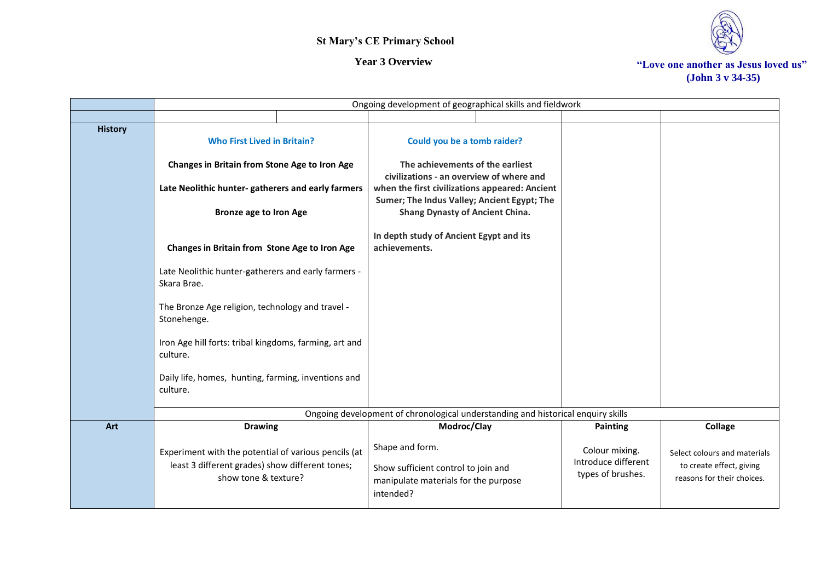

|                | Ongoing development of geographical skills and fieldwork                                                                        |                                                                                                             |                                                            |                                                                                        |  |  |
|----------------|---------------------------------------------------------------------------------------------------------------------------------|-------------------------------------------------------------------------------------------------------------|------------------------------------------------------------|----------------------------------------------------------------------------------------|--|--|
|                |                                                                                                                                 |                                                                                                             |                                                            |                                                                                        |  |  |
| <b>History</b> | <b>Who First Lived in Britain?</b>                                                                                              | Could you be a tomb raider?                                                                                 |                                                            |                                                                                        |  |  |
|                | Changes in Britain from Stone Age to Iron Age                                                                                   | The achievements of the earliest<br>civilizations - an overview of where and                                |                                                            |                                                                                        |  |  |
|                | Late Neolithic hunter-gatherers and early farmers                                                                               | when the first civilizations appeared: Ancient                                                              |                                                            |                                                                                        |  |  |
|                | <b>Bronze age to Iron Age</b>                                                                                                   | Sumer; The Indus Valley; Ancient Egypt; The<br><b>Shang Dynasty of Ancient China.</b>                       |                                                            |                                                                                        |  |  |
|                | Changes in Britain from Stone Age to Iron Age                                                                                   | In depth study of Ancient Egypt and its<br>achievements.                                                    |                                                            |                                                                                        |  |  |
|                | Late Neolithic hunter-gatherers and early farmers -<br>Skara Brae.                                                              |                                                                                                             |                                                            |                                                                                        |  |  |
|                | The Bronze Age religion, technology and travel -<br>Stonehenge.                                                                 |                                                                                                             |                                                            |                                                                                        |  |  |
|                | Iron Age hill forts: tribal kingdoms, farming, art and<br>culture.                                                              |                                                                                                             |                                                            |                                                                                        |  |  |
|                | Daily life, homes, hunting, farming, inventions and<br>culture.                                                                 |                                                                                                             |                                                            |                                                                                        |  |  |
|                |                                                                                                                                 | Ongoing development of chronological understanding and historical enquiry skills                            |                                                            |                                                                                        |  |  |
| Art            | <b>Drawing</b>                                                                                                                  | Modroc/Clay                                                                                                 | <b>Painting</b>                                            | Collage                                                                                |  |  |
|                | Experiment with the potential of various pencils (at<br>least 3 different grades) show different tones;<br>show tone & texture? | Shape and form.<br>Show sufficient control to join and<br>manipulate materials for the purpose<br>intended? | Colour mixing.<br>Introduce different<br>types of brushes. | Select colours and materials<br>to create effect, giving<br>reasons for their choices. |  |  |
|                |                                                                                                                                 |                                                                                                             |                                                            |                                                                                        |  |  |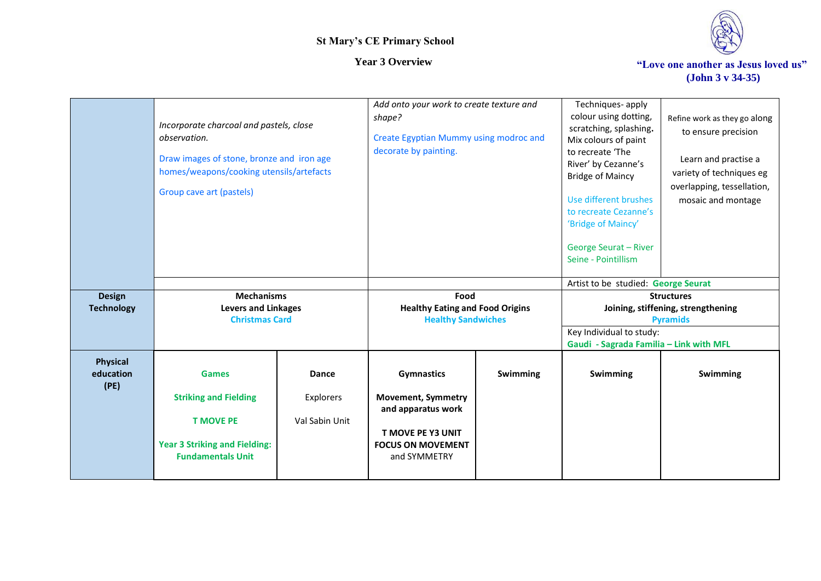

*Year 3 Overview* **The** *Year 3 Overview* $\cdot$ *Year 3 Overview* $\cdot$ *Year 3 Overview* **(John 3 v 34-35)**

|                                      | Incorporate charcoal and pastels, close<br>observation.<br>Draw images of stone, bronze and iron age<br>homes/weapons/cooking utensils/artefacts<br>Group cave art (pastels) |                                             | Add onto your work to create texture and<br>shape?<br>Create Egyptian Mummy using modroc and<br>decorate by painting.                 |          | Techniques-apply<br>colour using dotting,<br>scratching, splashing.<br>Mix colours of paint<br>to recreate 'The<br>River' by Cezanne's<br><b>Bridge of Maincy</b><br>Use different brushes<br>to recreate Cezanne's<br>'Bridge of Maincy'<br>George Seurat - River<br>Seine - Pointillism | Refine work as they go along<br>to ensure precision<br>Learn and practise a<br>variety of techniques eg<br>overlapping, tessellation,<br>mosaic and montage |
|--------------------------------------|------------------------------------------------------------------------------------------------------------------------------------------------------------------------------|---------------------------------------------|---------------------------------------------------------------------------------------------------------------------------------------|----------|-------------------------------------------------------------------------------------------------------------------------------------------------------------------------------------------------------------------------------------------------------------------------------------------|-------------------------------------------------------------------------------------------------------------------------------------------------------------|
|                                      |                                                                                                                                                                              |                                             |                                                                                                                                       |          | Artist to be studied: George Seurat                                                                                                                                                                                                                                                       |                                                                                                                                                             |
| <b>Design</b><br><b>Technology</b>   | <b>Mechanisms</b><br><b>Levers and Linkages</b>                                                                                                                              |                                             | Food<br><b>Healthy Eating and Food Origins</b>                                                                                        |          | <b>Structures</b><br>Joining, stiffening, strengthening                                                                                                                                                                                                                                   |                                                                                                                                                             |
|                                      | <b>Christmas Card</b>                                                                                                                                                        |                                             | <b>Healthy Sandwiches</b>                                                                                                             |          |                                                                                                                                                                                                                                                                                           | <b>Pyramids</b>                                                                                                                                             |
|                                      |                                                                                                                                                                              |                                             |                                                                                                                                       |          | Key Individual to study:                                                                                                                                                                                                                                                                  |                                                                                                                                                             |
|                                      |                                                                                                                                                                              |                                             |                                                                                                                                       |          | Gaudi - Sagrada Familia - Link with MFL                                                                                                                                                                                                                                                   |                                                                                                                                                             |
| <b>Physical</b><br>education<br>(PE) | <b>Games</b><br><b>Striking and Fielding</b><br><b>T MOVE PE</b><br><b>Year 3 Striking and Fielding:</b><br><b>Fundamentals Unit</b>                                         | <b>Dance</b><br>Explorers<br>Val Sabin Unit | <b>Gymnastics</b><br><b>Movement, Symmetry</b><br>and apparatus work<br>T MOVE PE Y3 UNIT<br><b>FOCUS ON MOVEMENT</b><br>and SYMMETRY | Swimming | <b>Swimming</b>                                                                                                                                                                                                                                                                           | Swimming                                                                                                                                                    |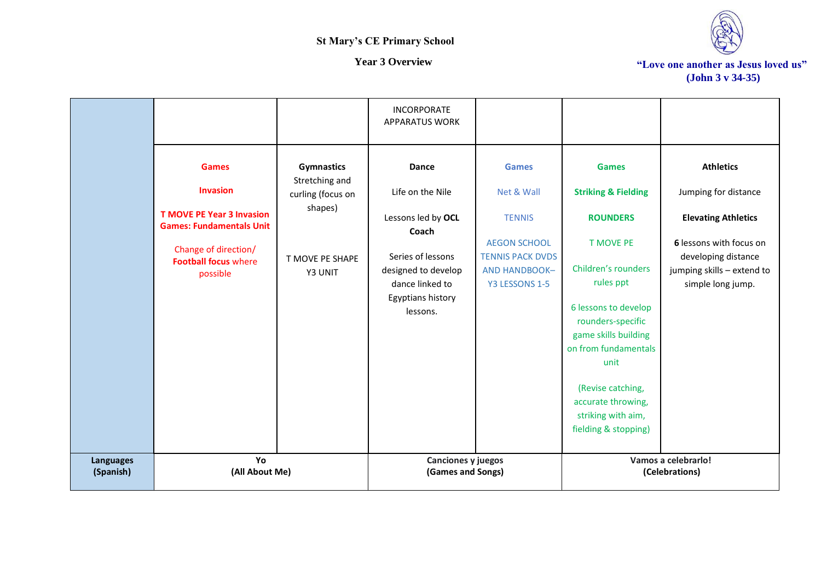

|                               |                                                                                                                                                                           |                                                                                                   | <b>INCORPORATE</b><br><b>APPARATUS WORK</b>                                                                                                              |                                                                                                                                  |                                                                                                                                                                                                                                                                                                                         |                                                                                                                                                                             |
|-------------------------------|---------------------------------------------------------------------------------------------------------------------------------------------------------------------------|---------------------------------------------------------------------------------------------------|----------------------------------------------------------------------------------------------------------------------------------------------------------|----------------------------------------------------------------------------------------------------------------------------------|-------------------------------------------------------------------------------------------------------------------------------------------------------------------------------------------------------------------------------------------------------------------------------------------------------------------------|-----------------------------------------------------------------------------------------------------------------------------------------------------------------------------|
|                               | <b>Games</b><br><b>Invasion</b><br><b>T MOVE PE Year 3 Invasion</b><br><b>Games: Fundamentals Unit</b><br>Change of direction/<br><b>Football focus where</b><br>possible | <b>Gymnastics</b><br>Stretching and<br>curling (focus on<br>shapes)<br>T MOVE PE SHAPE<br>Y3 UNIT | Dance<br>Life on the Nile<br>Lessons led by OCL<br>Coach<br>Series of lessons<br>designed to develop<br>dance linked to<br>Egyptians history<br>lessons. | <b>Games</b><br>Net & Wall<br><b>TENNIS</b><br><b>AEGON SCHOOL</b><br><b>TENNIS PACK DVDS</b><br>AND HANDBOOK-<br>Y3 LESSONS 1-5 | <b>Games</b><br><b>Striking &amp; Fielding</b><br><b>ROUNDERS</b><br><b>T MOVE PE</b><br>Children's rounders<br>rules ppt<br>6 lessons to develop<br>rounders-specific<br>game skills building<br>on from fundamentals<br>unit<br>(Revise catching,<br>accurate throwing,<br>striking with aim,<br>fielding & stopping) | <b>Athletics</b><br>Jumping for distance<br><b>Elevating Athletics</b><br>6 lessons with focus on<br>developing distance<br>jumping skills - extend to<br>simple long jump. |
| <b>Languages</b><br>(Spanish) | Yo<br>(All About Me)                                                                                                                                                      |                                                                                                   | Canciones y juegos<br>(Games and Songs)                                                                                                                  |                                                                                                                                  |                                                                                                                                                                                                                                                                                                                         | Vamos a celebrarlo!<br>(Celebrations)                                                                                                                                       |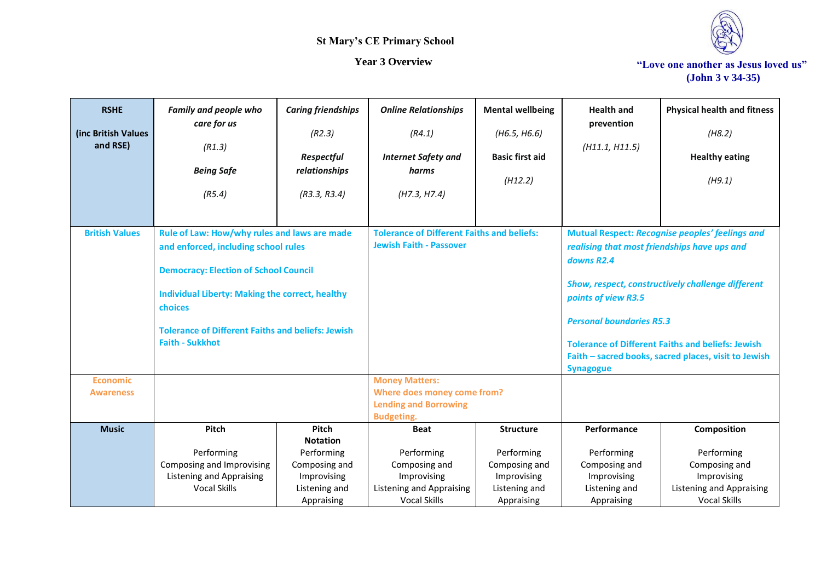

| <b>RSHE</b>                         | <b>Family and people who</b>                                                         | <b>Caring friendships</b> | <b>Online Relationships</b>                          | <b>Mental wellbeing</b> | <b>Health and</b>                                                                               | <b>Physical health and fitness</b>                       |  |
|-------------------------------------|--------------------------------------------------------------------------------------|---------------------------|------------------------------------------------------|-------------------------|-------------------------------------------------------------------------------------------------|----------------------------------------------------------|--|
| (inc British Values<br>and RSE)     | care for us<br>(R1.3)                                                                | (R2.3)                    | (R4.1)                                               | (H6.5, H6.6)            | prevention<br>(H11.1, H11.5)                                                                    | (H8.2)                                                   |  |
|                                     |                                                                                      | Respectful                | <b>Internet Safety and</b>                           | <b>Basic first aid</b>  |                                                                                                 | <b>Healthy eating</b>                                    |  |
|                                     | <b>Being Safe</b>                                                                    | relationships             | harms                                                | (H12.2)                 |                                                                                                 | (H9.1)                                                   |  |
|                                     | (R5.4)                                                                               | (R3.3, R3.4)              | (H7.3, H7.4)                                         |                         |                                                                                                 |                                                          |  |
|                                     |                                                                                      |                           |                                                      |                         |                                                                                                 |                                                          |  |
| <b>British Values</b>               |                                                                                      |                           | <b>Tolerance of Different Faiths and beliefs:</b>    |                         |                                                                                                 |                                                          |  |
|                                     | Rule of Law: How/why rules and laws are made<br>and enforced, including school rules |                           | <b>Jewish Faith - Passover</b>                       |                         | Mutual Respect: Recognise peoples' feelings and<br>realising that most friendships have ups and |                                                          |  |
|                                     |                                                                                      |                           |                                                      |                         | downs R2.4<br>Show, respect, constructively challenge different<br>points of view R3.5          |                                                          |  |
|                                     | <b>Democracy: Election of School Council</b>                                         |                           |                                                      |                         |                                                                                                 |                                                          |  |
|                                     | <b>Individual Liberty: Making the correct, healthy</b>                               |                           |                                                      |                         |                                                                                                 |                                                          |  |
|                                     | choices                                                                              |                           |                                                      |                         |                                                                                                 |                                                          |  |
|                                     | <b>Tolerance of Different Faiths and beliefs: Jewish</b>                             |                           |                                                      |                         | <b>Personal boundaries R5.3</b>                                                                 |                                                          |  |
|                                     | <b>Faith - Sukkhot</b>                                                               |                           |                                                      |                         |                                                                                                 | <b>Tolerance of Different Faiths and beliefs: Jewish</b> |  |
|                                     |                                                                                      |                           |                                                      |                         | Faith - sacred books, sacred places, visit to Jewish                                            |                                                          |  |
|                                     |                                                                                      | <b>Synagogue</b>          |                                                      |                         |                                                                                                 |                                                          |  |
| <b>Economic</b><br><b>Awareness</b> |                                                                                      |                           | <b>Money Matters:</b><br>Where does money come from? |                         |                                                                                                 |                                                          |  |
|                                     |                                                                                      |                           | <b>Lending and Borrowing</b>                         |                         |                                                                                                 |                                                          |  |
|                                     |                                                                                      |                           | <b>Budgeting.</b>                                    |                         |                                                                                                 |                                                          |  |
| <b>Music</b>                        | Pitch                                                                                | Pitch<br><b>Notation</b>  | <b>Beat</b>                                          | <b>Structure</b>        | Performance                                                                                     | Composition                                              |  |
|                                     | Performing                                                                           | Performing                | Performing                                           | Performing              | Performing                                                                                      | Performing                                               |  |
|                                     | Composing and Improvising                                                            | Composing and             | Composing and                                        | Composing and           | Composing and                                                                                   | Composing and                                            |  |
|                                     | <b>Listening and Appraising</b>                                                      | Improvising               | Improvising                                          | Improvising             | Improvising                                                                                     | Improvising                                              |  |
|                                     | Vocal Skills                                                                         | Listening and             | <b>Listening and Appraising</b>                      | Listening and           | Listening and                                                                                   | <b>Listening and Appraising</b>                          |  |
|                                     |                                                                                      | Appraising                | <b>Vocal Skills</b>                                  | Appraising              | Appraising                                                                                      | <b>Vocal Skills</b>                                      |  |